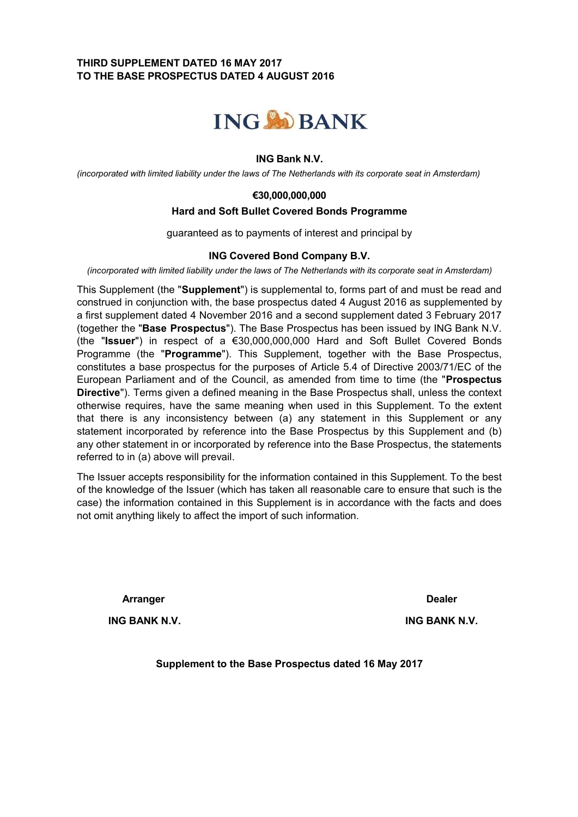# **THIRD SUPPLEMENT DATED 16 MAY 2017 TO THE BASE PROSPECTUS DATED 4 AUGUST 2016**



## **ING Bank N.V.**

*(incorporated with limited liability under the laws of The Netherlands with its corporate seat in Amsterdam)*

### **€30,000,000,000**

### **Hard and Soft Bullet Covered Bonds Programme**

guaranteed as to payments of interest and principal by

#### **ING Covered Bond Company B.V.**

*(incorporated with limited liability under the laws of The Netherlands with its corporate seat in Amsterdam)*

This Supplement (the "**Supplement**") is supplemental to, forms part of and must be read and construed in conjunction with, the base prospectus dated 4 August 2016 as supplemented by a first supplement dated 4 November 2016 and a second supplement dated 3 February 2017 (together the "**Base Prospectus**"). The Base Prospectus has been issued by ING Bank N.V. (the "**Issuer**") in respect of a €30,000,000,000 Hard and Soft Bullet Covered Bonds Programme (the "**Programme**"). This Supplement, together with the Base Prospectus, constitutes a base prospectus for the purposes of Article 5.4 of Directive 2003/71/EC of the European Parliament and of the Council, as amended from time to time (the "**Prospectus Directive**"). Terms given a defined meaning in the Base Prospectus shall, unless the context otherwise requires, have the same meaning when used in this Supplement. To the extent that there is any inconsistency between (a) any statement in this Supplement or any statement incorporated by reference into the Base Prospectus by this Supplement and (b) any other statement in or incorporated by reference into the Base Prospectus, the statements referred to in (a) above will prevail.

The Issuer accepts responsibility for the information contained in this Supplement. To the best of the knowledge of the Issuer (which has taken all reasonable care to ensure that such is the case) the information contained in this Supplement is in accordance with the facts and does not omit anything likely to affect the import of such information.

**Arranger Dealer**

**ING BANK N.V. ING BANK N.V.**

**Supplement to the Base Prospectus dated 16 May 2017**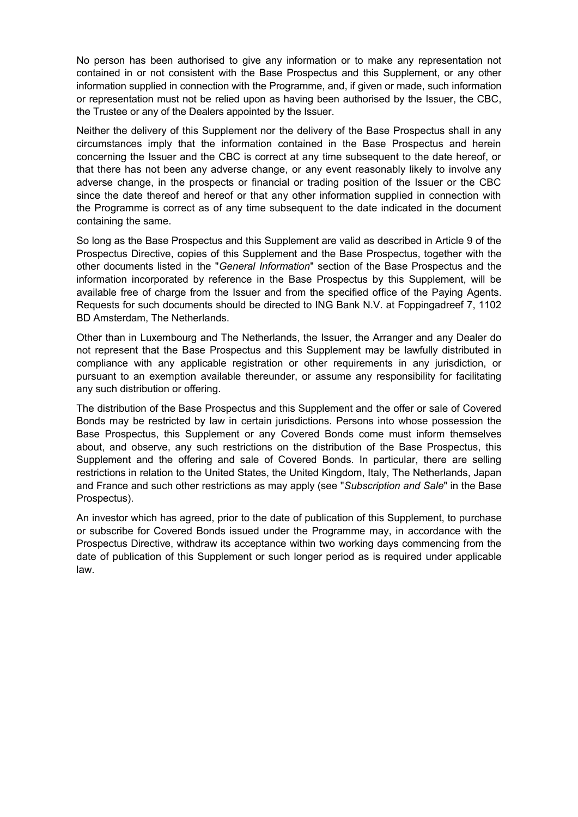No person has been authorised to give any information or to make any representation not contained in or not consistent with the Base Prospectus and this Supplement, or any other information supplied in connection with the Programme, and, if given or made, such information or representation must not be relied upon as having been authorised by the Issuer, the CBC, the Trustee or any of the Dealers appointed by the Issuer.

Neither the delivery of this Supplement nor the delivery of the Base Prospectus shall in any circumstances imply that the information contained in the Base Prospectus and herein concerning the Issuer and the CBC is correct at any time subsequent to the date hereof, or that there has not been any adverse change, or any event reasonably likely to involve any adverse change, in the prospects or financial or trading position of the Issuer or the CBC since the date thereof and hereof or that any other information supplied in connection with the Programme is correct as of any time subsequent to the date indicated in the document containing the same.

So long as the Base Prospectus and this Supplement are valid as described in Article 9 of the Prospectus Directive, copies of this Supplement and the Base Prospectus, together with the other documents listed in the "*General Information*" section of the Base Prospectus and the information incorporated by reference in the Base Prospectus by this Supplement, will be available free of charge from the Issuer and from the specified office of the Paying Agents. Requests for such documents should be directed to ING Bank N.V. at Foppingadreef 7, 1102 BD Amsterdam, The Netherlands.

Other than in Luxembourg and The Netherlands, the Issuer, the Arranger and any Dealer do not represent that the Base Prospectus and this Supplement may be lawfully distributed in compliance with any applicable registration or other requirements in any jurisdiction, or pursuant to an exemption available thereunder, or assume any responsibility for facilitating any such distribution or offering.

The distribution of the Base Prospectus and this Supplement and the offer or sale of Covered Bonds may be restricted by law in certain jurisdictions. Persons into whose possession the Base Prospectus, this Supplement or any Covered Bonds come must inform themselves about, and observe, any such restrictions on the distribution of the Base Prospectus, this Supplement and the offering and sale of Covered Bonds. In particular, there are selling restrictions in relation to the United States, the United Kingdom, Italy, The Netherlands, Japan and France and such other restrictions as may apply (see "*Subscription and Sale*" in the Base Prospectus).

An investor which has agreed, prior to the date of publication of this Supplement, to purchase or subscribe for Covered Bonds issued under the Programme may, in accordance with the Prospectus Directive, withdraw its acceptance within two working days commencing from the date of publication of this Supplement or such longer period as is required under applicable law.